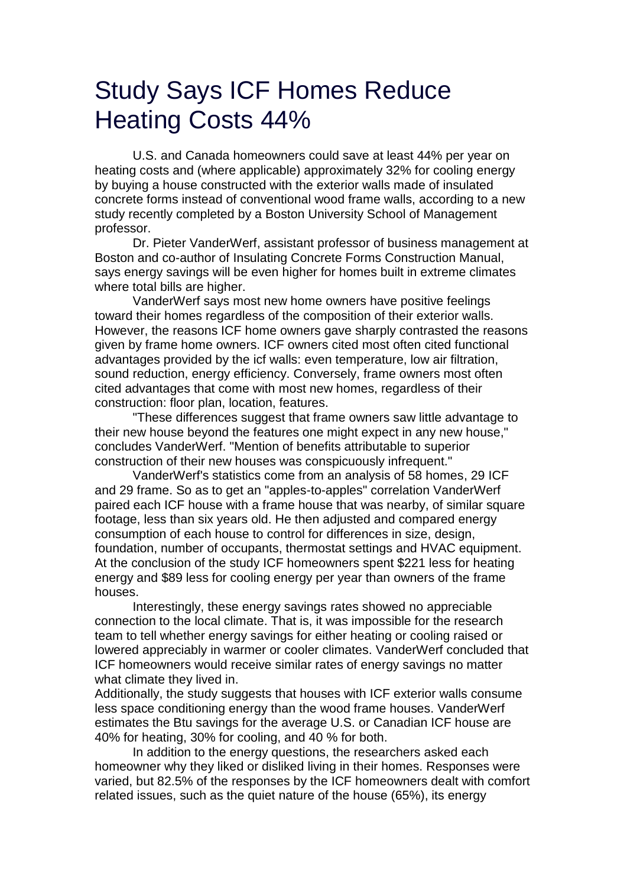## Study Says ICF Homes Reduce Heating Costs 44%

U.S. and Canada homeowners could save at least 44% per year on heating costs and (where applicable) approximately 32% for cooling energy by buying a house constructed with the exterior walls made of insulated concrete forms instead of conventional wood frame walls, according to a new study recently completed by a Boston University School of Management professor.

Dr. Pieter VanderWerf, assistant professor of business management at Boston and co-author of Insulating Concrete Forms Construction Manual, says energy savings will be even higher for homes built in extreme climates where total bills are higher.

VanderWerf says most new home owners have positive feelings toward their homes regardless of the composition of their exterior walls. However, the reasons ICF home owners gave sharply contrasted the reasons given by frame home owners. ICF owners cited most often cited functional advantages provided by the icf walls: even temperature, low air filtration, sound reduction, energy efficiency. Conversely, frame owners most often cited advantages that come with most new homes, regardless of their construction: floor plan, location, features.

"These differences suggest that frame owners saw little advantage to their new house beyond the features one might expect in any new house," concludes VanderWerf. "Mention of benefits attributable to superior construction of their new houses was conspicuously infrequent."

VanderWerf's statistics come from an analysis of 58 homes, 29 ICF and 29 frame. So as to get an "apples-to-apples" correlation VanderWerf paired each ICF house with a frame house that was nearby, of similar square footage, less than six years old. He then adjusted and compared energy consumption of each house to control for differences in size, design, foundation, number of occupants, thermostat settings and HVAC equipment. At the conclusion of the study ICF homeowners spent \$221 less for heating energy and \$89 less for cooling energy per year than owners of the frame houses.

Interestingly, these energy savings rates showed no appreciable connection to the local climate. That is, it was impossible for the research team to tell whether energy savings for either heating or cooling raised or lowered appreciably in warmer or cooler climates. VanderWerf concluded that ICF homeowners would receive similar rates of energy savings no matter what climate they lived in.

Additionally, the study suggests that houses with ICF exterior walls consume less space conditioning energy than the wood frame houses. VanderWerf estimates the Btu savings for the average U.S. or Canadian ICF house are 40% for heating, 30% for cooling, and 40 % for both.

In addition to the energy questions, the researchers asked each homeowner why they liked or disliked living in their homes. Responses were varied, but 82.5% of the responses by the ICF homeowners dealt with comfort related issues, such as the quiet nature of the house (65%), its energy